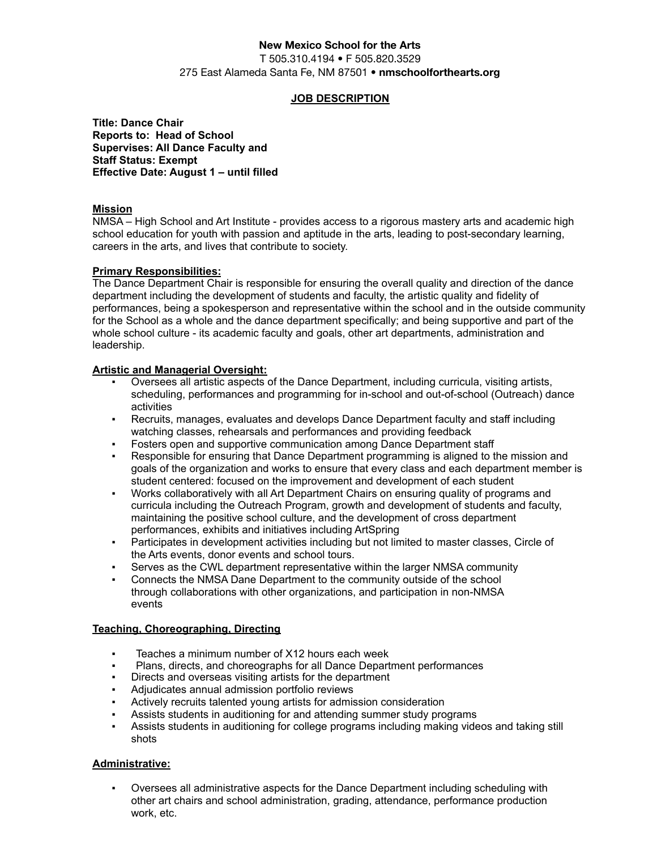# **New Mexico School for the Arts**

T 505.310.4194 • F 505.820.3529 275 East Alameda Santa Fe, NM 87501 • **nmschoolforthearts.org**

## **JOB DESCRIPTION**

**Title: Dance Chair Reports to: Head of School Supervises: All Dance Faculty and Staff Status: Exempt Effective Date: August 1 – until filled**

## **Mission**

NMSA – High School and Art Institute - provides access to a rigorous mastery arts and academic high school education for youth with passion and aptitude in the arts, leading to post-secondary learning, careers in the arts, and lives that contribute to society.

## **Primary Responsibilities:**

The Dance Department Chair is responsible for ensuring the overall quality and direction of the dance department including the development of students and faculty, the artistic quality and fidelity of performances, being a spokesperson and representative within the school and in the outside community for the School as a whole and the dance department specifically; and being supportive and part of the whole school culture - its academic faculty and goals, other art departments, administration and leadership.

## **Artistic and Managerial Oversight:**

- Oversees all artistic aspects of the Dance Department, including curricula, visiting artists, scheduling, performances and programming for in-school and out-of-school (Outreach) dance activities
- Recruits, manages, evaluates and develops Dance Department faculty and staff including watching classes, rehearsals and performances and providing feedback
- Fosters open and supportive communication among Dance Department staff
- Responsible for ensuring that Dance Department programming is aligned to the mission and goals of the organization and works to ensure that every class and each department member is student centered: focused on the improvement and development of each student
- Works collaboratively with all Art Department Chairs on ensuring quality of programs and curricula including the Outreach Program, growth and development of students and faculty, maintaining the positive school culture, and the development of cross department performances, exhibits and initiatives including ArtSpring
- Participates in development activities including but not limited to master classes, Circle of the Arts events, donor events and school tours.
- Serves as the CWL department representative within the larger NMSA community
- Connects the NMSA Dane Department to the community outside of the school through collaborations with other organizations, and participation in non-NMSA events

## **Teaching, Choreographing, Directing**

- Teaches a minimum number of X12 hours each week
- Plans, directs, and choreographs for all Dance Department performances
- Directs and overseas visiting artists for the department
- Adjudicates annual admission portfolio reviews
- Actively recruits talented young artists for admission consideration
- Assists students in auditioning for and attending summer study programs
- Assists students in auditioning for college programs including making videos and taking still shots

### **Administrative:**

Oversees all administrative aspects for the Dance Department including scheduling with other art chairs and school administration, grading, attendance, performance production work, etc.